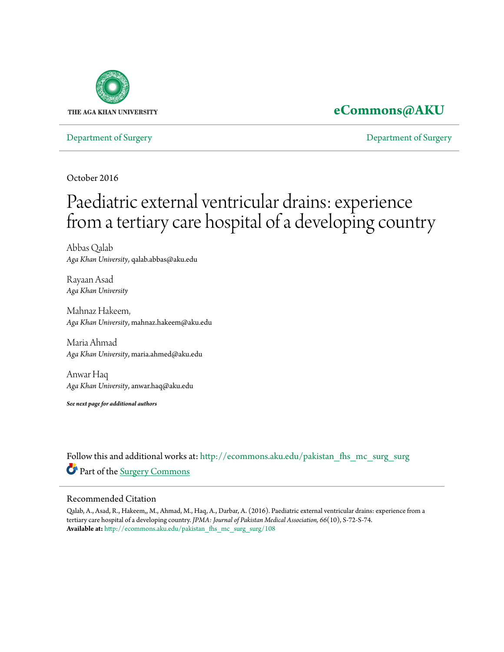

# **[eCommons@AKU](http://ecommons.aku.edu?utm_source=ecommons.aku.edu%2Fpakistan_fhs_mc_surg_surg%2F108&utm_medium=PDF&utm_campaign=PDFCoverPages)**

[Department of Surgery](http://ecommons.aku.edu/pakistan_fhs_mc_surg_surg?utm_source=ecommons.aku.edu%2Fpakistan_fhs_mc_surg_surg%2F108&utm_medium=PDF&utm_campaign=PDFCoverPages) [Department of Surgery](http://ecommons.aku.edu/pakistan_fhs_mc_surg?utm_source=ecommons.aku.edu%2Fpakistan_fhs_mc_surg_surg%2F108&utm_medium=PDF&utm_campaign=PDFCoverPages)

October 2016

# Paediatric external ventricular drains: experience from a tertiary care hospital of a developing country

Abbas Qalab *Aga Khan University*, qalab.abbas@aku.edu

Rayaan Asad *Aga Khan University*

Mahnaz Hakeem, *Aga Khan University*, mahnaz.hakeem@aku.edu

Maria Ahmad *Aga Khan University*, maria.ahmed@aku.edu

Anwar Haq *Aga Khan University*, anwar.haq@aku.edu

*See next page for additional authors*

Follow this and additional works at: [http://ecommons.aku.edu/pakistan\\_fhs\\_mc\\_surg\\_surg](http://ecommons.aku.edu/pakistan_fhs_mc_surg_surg?utm_source=ecommons.aku.edu%2Fpakistan_fhs_mc_surg_surg%2F108&utm_medium=PDF&utm_campaign=PDFCoverPages) Part of the [Surgery Commons](http://network.bepress.com/hgg/discipline/706?utm_source=ecommons.aku.edu%2Fpakistan_fhs_mc_surg_surg%2F108&utm_medium=PDF&utm_campaign=PDFCoverPages)

#### Recommended Citation

Qalab, A., Asad, R., Hakeem,, M., Ahmad, M., Haq, A., Darbar, A. (2016). Paediatric external ventricular drains: experience from a tertiary care hospital of a developing country. *JPMA: Journal of Pakistan Medical Association, 66*(10), S-72-S-74. **Available at:** [http://ecommons.aku.edu/pakistan\\_fhs\\_mc\\_surg\\_surg/108](http://ecommons.aku.edu/pakistan_fhs_mc_surg_surg/108)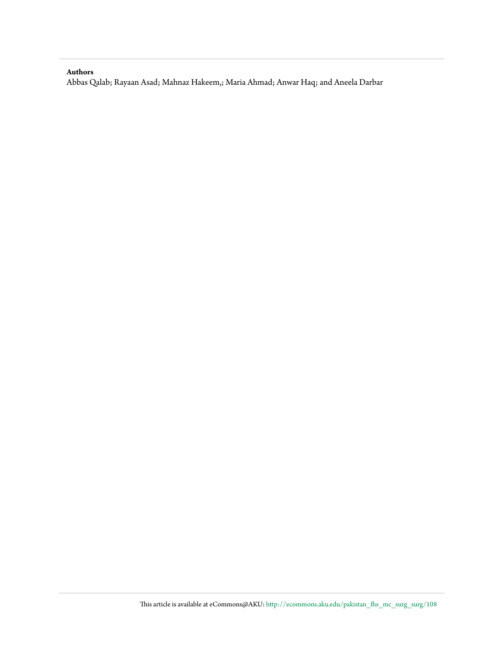#### **Authors**

Abbas Qalab; Rayaan Asad; Mahnaz Hakeem,; Maria Ahmad; Anwar Haq; and Aneela Darbar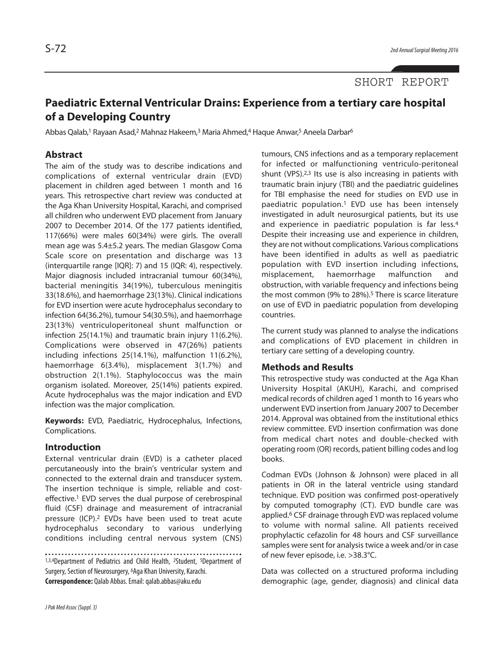## SHORT REPORT

# **Paediatric External Ventricular Drains: Experience from a tertiary care hospital of a Developing Country**

Abbas Qalab,<sup>1</sup> Rayaan Asad,<sup>2</sup> Mahnaz Hakeem,<sup>3</sup> Maria Ahmed,4 Haque Anwar,<sup>5</sup> Aneela Darbar<sup>6</sup>

### **Abstract**

The aim of the study was to describe indications and complications of external ventricular drain (EVD) placement in children aged between 1 month and 16 years. This retrospective chart review was conducted at the Aga Khan University Hospital, Karachi, and comprised all children who underwent EVD placement from January 2007 to December 2014. Of the 177 patients identified, 117(66%) were males 60(34%) were girls. The overall mean age was 5.4±5.2 years. The median Glasgow Coma Scale score on presentation and discharge was 13 (interquartile range [IQR]: 7) and 15 (IQR: 4), respectively. Major diagnosis included intracranial tumour 60(34%), bacterial meningitis 34(19%), tuberculous meningitis 33(18.6%), and haemorrhage 23(13%). Clinical indications for EVD insertion were acute hydrocephalus secondary to infection 64(36.2%), tumour 54(30.5%), and haemorrhage 23(13%) ventriculoperitoneal shunt malfunction or infection 25(14.1%) and traumatic brain injury 11(6.2%). Complications were observed in 47(26%) patients including infections 25(14.1%), malfunction 11(6.2%), haemorrhage 6(3.4%), misplacement 3(1.7%) and obstruction 2(1.1%). Staphylococcus was the main organism isolated. Moreover, 25(14%) patients expired. Acute hydrocephalus was the major indication and EVD infection was the major complication.

**Keywords:** EVD, Paediatric, Hydrocephalus, Infections, Complications.

#### **Introduction**

External ventricular drain (EVD) is a catheter placed percutaneously into the brain's ventricular system and connected to the external drain and transducer system. The insertion technique is simple, reliable and costeffective. <sup>1</sup> EVD serves the dual purpose of cerebrospinal fluid (CSF) drainage and measurement of intracranial pressure (ICP). <sup>2</sup> EVDs have been used to treat acute hydrocephalus secondary to various underlying conditions including central nervous system (CNS)

1,3,4Department of Pediatrics and Child Health, <sup>2</sup>Student, <sup>5</sup>Department of Surgery, Section of Neurosurgery, <sup>6</sup>Aga Khan University, Karachi. **Correspondence:** Qalab Abbas.Email:qalab.abbas@aku.edu

tumours, CNS infections and as a temporary replacement for infected or malfunctioning ventriculo-peritoneal shunt (VPS).<sup>2,3</sup> Its use is also increasing in patients with traumatic brain injury (TBI) and the paediatric guidelines for TBI emphasise the need for studies on EVD use in paediatric population. <sup>1</sup> EVD use has been intensely investigated in adult neurosurgical patients, but its use and experience in paediatric population is far less. 4 Despite their increasing use and experience in children, they are not without complications. Various complications have been identified in adults as well as paediatric population with EVD insertion including infections, misplacement, haemorrhage malfunction and obstruction, with variable frequency and infections being the most common (9% to 28%). <sup>5</sup> There is scarce literature on use of EVD in paediatric population from developing countries.

The current study was planned to analyse the indications and complications of EVD placement in children in tertiary care setting of a developing country.

#### **Methods and Results**

This retrospective study was conducted at the Aga Khan University Hospital (AKUH), Karachi, and comprised medical records of children aged 1 month to 16 years who underwent EVD insertion from January 2007 to December 2014. Approval was obtained from the institutional ethics review committee. EVD insertion confirmation was done from medical chart notes and double-checked with operating room (OR) records, patient billing codes and log books.

Codman EVDs (Johnson & Johnson) were placed in all patients in OR in the lateral ventricle using standard technique. EVD position was confirmed post-operatively by computed tomography (CT). EVD bundle care was applied. <sup>6</sup> CSF drainage through EVD was replaced volume to volume with normal saline. All patients received prophylactic cefazolin for 48 hours and CSF surveillance samples were sent for analysis twice a week and/or in case of new fever episode, i.e. >38.3°C.

Data was collected on a structured proforma including demographic (age, gender, diagnosis) and clinical data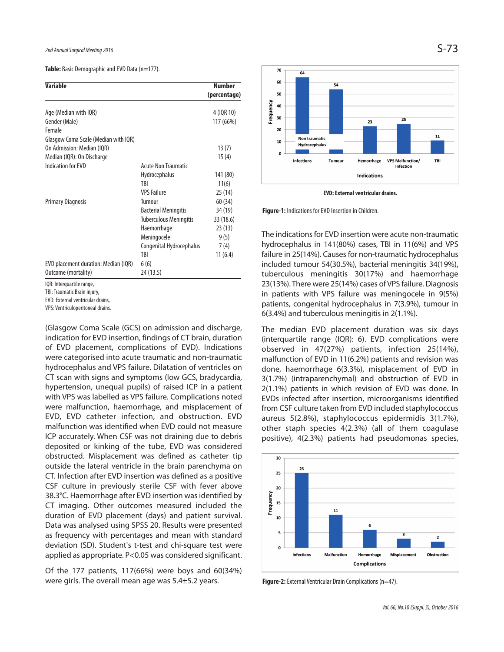**Table:** Basic Demographic and EVD Data (n=177).

| <b>Variable</b>                      |                               | <b>Number</b> |
|--------------------------------------|-------------------------------|---------------|
|                                      |                               | (percentage)  |
| Age (Median with IQR)                |                               | 4 (IQR 10)    |
| Gender (Male)                        |                               | 117 (66%)     |
| Female                               |                               |               |
| Glasgow Coma Scale (Median with IQR) |                               |               |
| On Admission: Median (IOR)           |                               | 13(7)         |
| Median (IQR): On Discharge           |                               | 15(4)         |
| <b>Indication for EVD</b>            | Acute Non Traumatic           |               |
|                                      | <b>Hydrocephalus</b>          | 141 (80)      |
|                                      | <b>TRI</b>                    | 11(6)         |
|                                      | <b>VPS Failure</b>            | 25(14)        |
| <b>Primary Diagnosis</b>             | Tumour                        | 60 (34)       |
|                                      | <b>Bacterial Meningitis</b>   | 34 (19)       |
|                                      | <b>Tuberculous Meningitis</b> | 33 (18.6)     |
|                                      | Haemorrhage                   | 23(13)        |
|                                      | Meningocele                   | 9(5)          |
|                                      | Congenital Hydrocephalus      | 7(4)          |
|                                      | TBI                           | 11(6.4)       |
| EVD placement duration: Median (IQR) | 6(6)                          |               |
| Outcome (mortality)                  | 24 (13.5)                     |               |

IQR: Interquartile range,

TBI: Traumatic Brain injury,

EVD: External ventricular drains,

VPS: Ventriculoperitoneal drains.

(Glasgow Coma Scale (GCS) on admission and discharge, indication for EVD insertion, findings of CT brain, duration of EVD placement, complications of EVD). Indications were categorised into acute traumatic and non-traumatic hydrocephalus and VPS failure. Dilatation of ventricles on CT scan with signs and symptoms (low GCS, bradycardia, hypertension, unequal pupils) of raised ICP in a patient with VPS was labelled as VPS failure. Complications noted were malfunction, haemorrhage, and misplacement of EVD, EVD catheter infection, and obstruction. EVD malfunction was identified when EVD could not measure ICP accurately. When CSF was not draining due to debris deposited or kinking of the tube, EVD was considered obstructed. Misplacement was defined as catheter tip outside the lateral ventricle in the brain parenchyma on CT. Infection after EVD insertion was defined as a positive CSF culture in previously sterile CSF with fever above 38.3°C. Haemorrhage after EVD insertion wasidentified by CT imaging. Other outcomes measured included the duration of EVD placement (days) and patient survival. Data was analysed using SPSS 20. Results were presented as frequency with percentages and mean with standard deviation (SD). Student's t-test and chi-square test were applied as appropriate. P<0.05 was considered significant.

Of the 177 patients, 117(66%) were boys and 60(34%) were girls. The overall mean age was 5.4±5.2 years.



**EVD:Externalventricular drains.**

Figure-1: Indications for EVD Insertion in Children.

The indications for EVD insertion were acute non-traumatic hydrocephalus in 141(80%) cases, TBI in 11(6%) and VPS failure in 25(14%). Causes for non-traumatic hydrocephalus included tumour 54(30.5%), bacterial meningitis 34(19%), tuberculous meningitis 30(17%) and haemorrhage 23(13%). There were 25(14%) cases of VPS failure. Diagnosis in patients with VPS failure was meningocele in 9(5%) patients, congenital hydrocephalus in 7(3.9%), tumour in 6(3.4%) and tuberculous meningitis in 2(1.1%).

The median EVD placement duration was six days (interquartile range (IQR): 6). EVD complications were observed in 47(27%) patients, infection 25(14%), malfunction of EVD in 11(6.2%) patients and revision was done, haemorrhage 6(3.3%), misplacement of EVD in 3(1.7%) (intraparenchymal) and obstruction of EVD in 2(1.1%) patients in which revision of EVD was done. In EVDs infected after insertion, microorganisms identified from CSF culture taken from EVD included staphylococcus aureus 5(2.8%), staphylococcus epidermidis 3(1.7%), other staph species 4(2.3%) (all of them coagulase positive), 4(2.3%) patients had pseudomonas species,



**Figure-2:** External Ventricular Drain Complications (n=47).